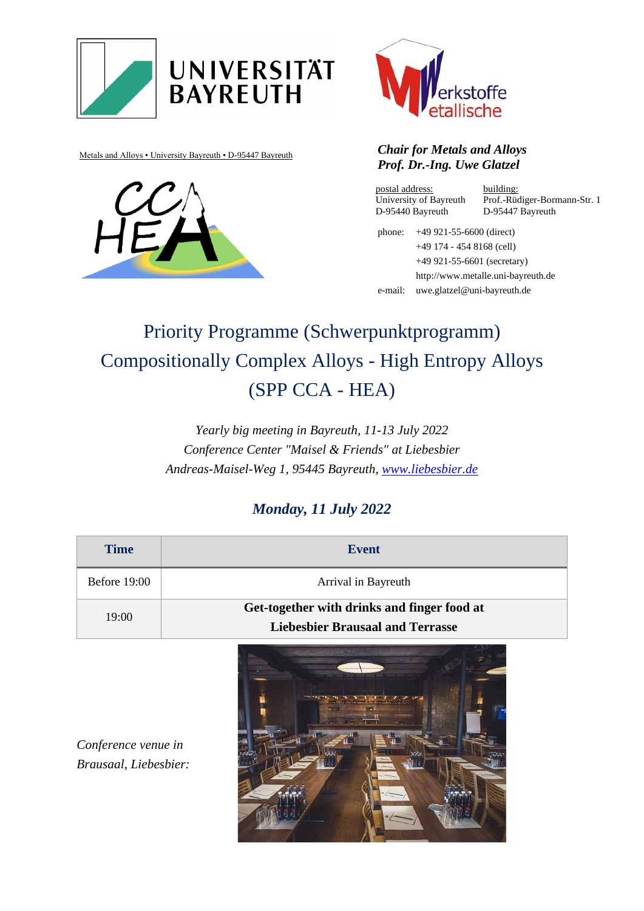







#### Metals and Alloys • University Bayreuth • D-95447 Bayreuth *Chair for Metals and Alloys Prof. Dr.-Ing. Uwe Glatzel*

postal address: University of Bayreuth D-95440 Bayreuth

building: Prof.-Rüdiger-Bormann-Str. 1 D-95447 Bayreuth

phone: +49 921-55-6600 (direct) +49 174 - 454 8168 (cell) +49 921-55-6601 (secretary) http://www.metalle.uni-bayreuth.de e-mail: uwe.glatzel@uni-bayreuth.de

# Priority Programme (Schwerpunktprogramm) Compositionally Complex Alloys - High Entropy Alloys (SPP CCA - HEA)

*Yearly big meeting in Bayreuth, 11-13 July 2022 Conference Center "Maisel & Friends" at Liebesbier Andreas-Maisel-Weg 1, 95445 Bayreuth, [www.liebesbier.de](http://www.liebesbier.de/)*

### *Monday, 11 July 2022*

| <b>Time</b>    | <b>Event</b>                                |
|----------------|---------------------------------------------|
| Before $19:00$ | Arrival in Bayreuth                         |
| 19:00          | Get-together with drinks and finger food at |
|                | <b>Liebesbier Brausaal and Terrasse</b>     |



*Conference venue in Brausaal, Liebesbier:*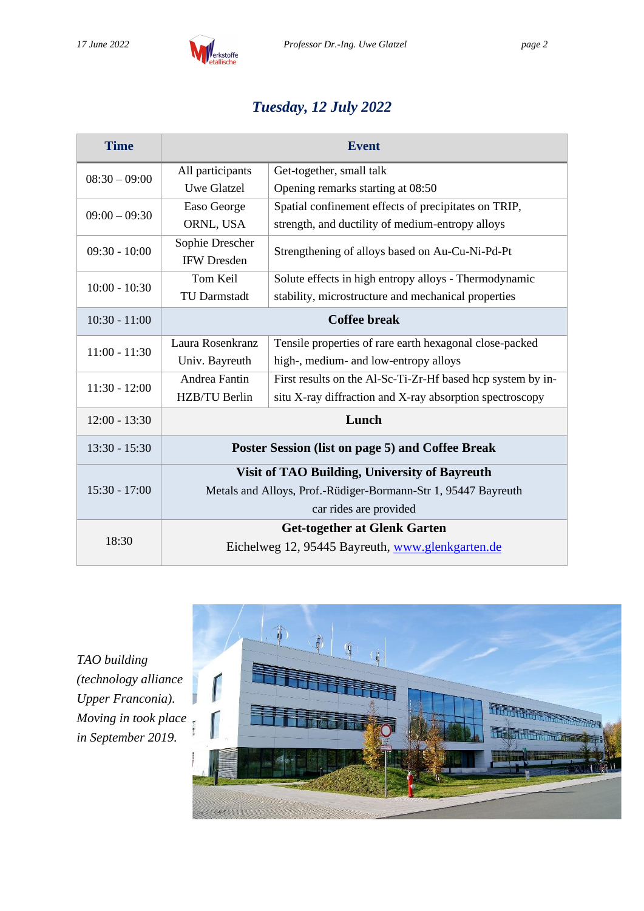

## *Tuesday, 12 July 2022*

| <b>Time</b>     | <b>Event</b>                                                   |                                                             |  |
|-----------------|----------------------------------------------------------------|-------------------------------------------------------------|--|
| $08:30 - 09:00$ | All participants                                               | Get-together, small talk                                    |  |
|                 | <b>Uwe Glatzel</b>                                             | Opening remarks starting at 08:50                           |  |
| $09:00 - 09:30$ | Easo George                                                    | Spatial confinement effects of precipitates on TRIP,        |  |
|                 | ORNL, USA                                                      | strength, and ductility of medium-entropy alloys            |  |
| $09:30 - 10:00$ | Sophie Drescher                                                | Strengthening of alloys based on Au-Cu-Ni-Pd-Pt             |  |
|                 | <b>IFW Dresden</b>                                             |                                                             |  |
| $10:00 - 10:30$ | Tom Keil                                                       | Solute effects in high entropy alloys - Thermodynamic       |  |
|                 | <b>TU Darmstadt</b>                                            | stability, microstructure and mechanical properties         |  |
| $10:30 - 11:00$ | <b>Coffee break</b>                                            |                                                             |  |
| $11:00 - 11:30$ | Laura Rosenkranz                                               | Tensile properties of rare earth hexagonal close-packed     |  |
|                 | Univ. Bayreuth                                                 | high-, medium- and low-entropy alloys                       |  |
| $11:30 - 12:00$ | Andrea Fantin                                                  | First results on the Al-Sc-Ti-Zr-Hf based hcp system by in- |  |
|                 | HZB/TU Berlin                                                  | situ X-ray diffraction and X-ray absorption spectroscopy    |  |
| $12:00 - 13:30$ | Lunch                                                          |                                                             |  |
| $13:30 - 15:30$ | Poster Session (list on page 5) and Coffee Break               |                                                             |  |
| $15:30 - 17:00$ | <b>Visit of TAO Building, University of Bayreuth</b>           |                                                             |  |
|                 | Metals and Alloys, Prof.-Rüdiger-Bormann-Str 1, 95447 Bayreuth |                                                             |  |
|                 | car rides are provided                                         |                                                             |  |
| 18:30           |                                                                | <b>Get-together at Glenk Garten</b>                         |  |
|                 |                                                                | Eichelweg 12, 95445 Bayreuth, www.glenkgarten.de            |  |

*TAO building (technology alliance Upper Franconia). Moving in took place in September 2019.*

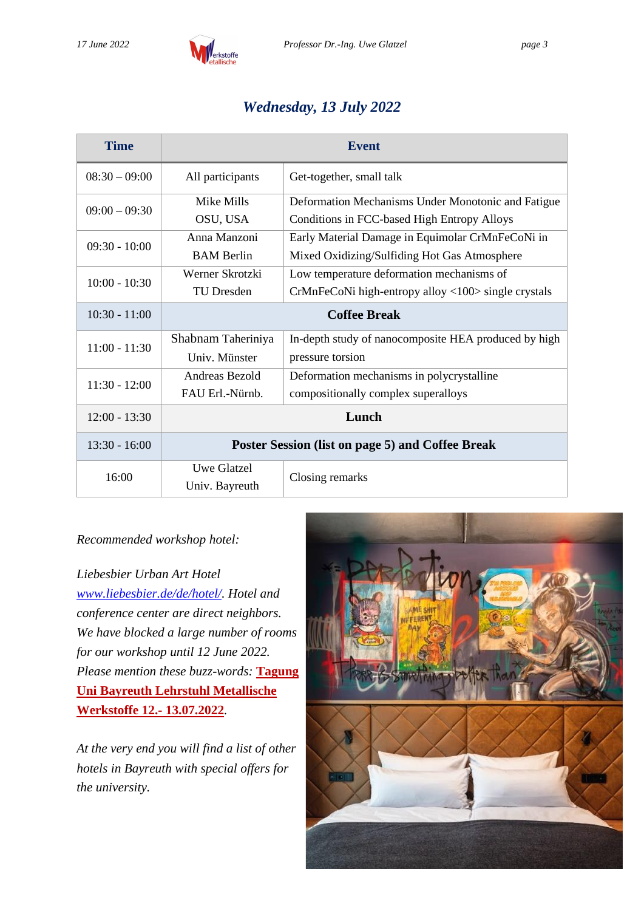

### *Wednesday, 13 July 2022*

| <b>Time</b>     | <b>Event</b>                                     |                                                      |  |
|-----------------|--------------------------------------------------|------------------------------------------------------|--|
| $08:30 - 09:00$ | All participants                                 | Get-together, small talk                             |  |
| $09:00 - 09:30$ | Mike Mills                                       | Deformation Mechanisms Under Monotonic and Fatigue   |  |
|                 | OSU, USA                                         | Conditions in FCC-based High Entropy Alloys          |  |
| $09:30 - 10:00$ | Anna Manzoni                                     | Early Material Damage in Equimolar CrMnFeCoNi in     |  |
|                 | <b>BAM</b> Berlin                                | Mixed Oxidizing/Sulfiding Hot Gas Atmosphere         |  |
| $10:00 - 10:30$ | Werner Skrotzki                                  | Low temperature deformation mechanisms of            |  |
|                 | <b>TU</b> Dresden                                | CrMnFeCoNi high-entropy alloy <100> single crystals  |  |
| $10:30 - 11:00$ | <b>Coffee Break</b>                              |                                                      |  |
| $11:00 - 11:30$ | Shabnam Taheriniya                               | In-depth study of nanocomposite HEA produced by high |  |
|                 | Univ. Münster                                    | pressure torsion                                     |  |
| $11:30 - 12:00$ | Andreas Bezold                                   | Deformation mechanisms in polycrystalline            |  |
|                 | FAU Erl.-Nürnb.                                  | compositionally complex superalloys                  |  |
| $12:00 - 13:30$ | Lunch                                            |                                                      |  |
| $13:30 - 16:00$ | Poster Session (list on page 5) and Coffee Break |                                                      |  |
| 16:00           | Uwe Glatzel                                      | Closing remarks                                      |  |
|                 | Univ. Bayreuth                                   |                                                      |  |

#### *Recommended workshop hotel:*

*Liebesbier Urban Art Hotel [www.liebesbier.de/de/hotel/.](http://www.liebesbier.de/de/hotel/) Hotel and conference center are direct neighbors. We have blocked a large number of rooms for our workshop until 12 June 2022. Please mention these buzz-words:* **Tagung Uni Bayreuth Lehrstuhl Metallische Werkstoffe 12.- 13.07.2022***.*

*At the very end you will find a list of other hotels in Bayreuth with special offers for the university.*

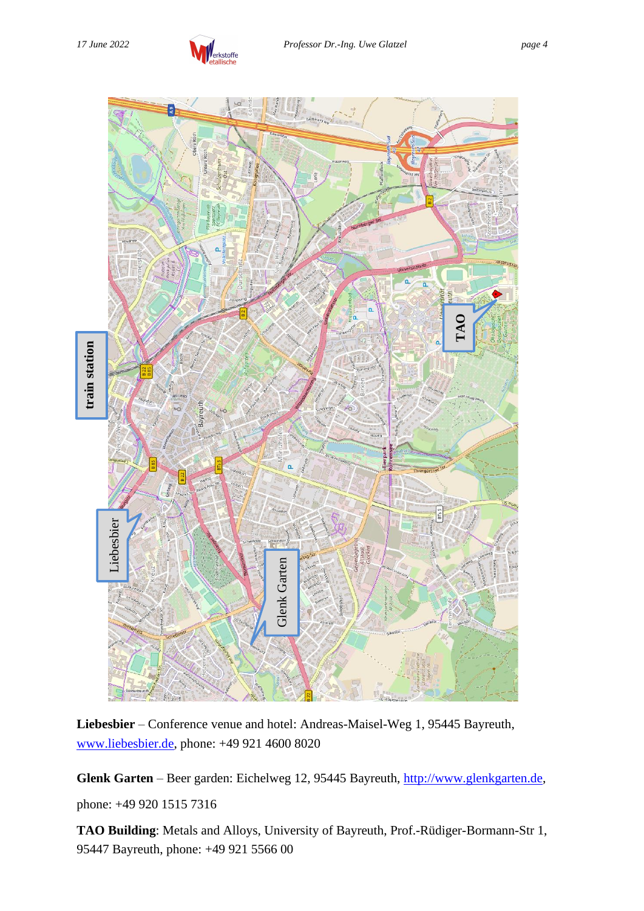



**Liebesbier** – Conference venue and hotel: Andreas-Maisel-Weg 1, 95445 Bayreuth, [www.liebesbier.de,](http://www.liebesbier.de/) phone: +49 921 4600 8020

**Glenk Garten** – Beer garden: Eichelweg 12, 95445 Bayreuth, [http://www.glenkgarten.de,](http://www.glenkgarten.de/) phone: +49 920 1515 7316

**TAO Building**: Metals and Alloys, University of Bayreuth, Prof.-Rüdiger-Bormann-Str 1,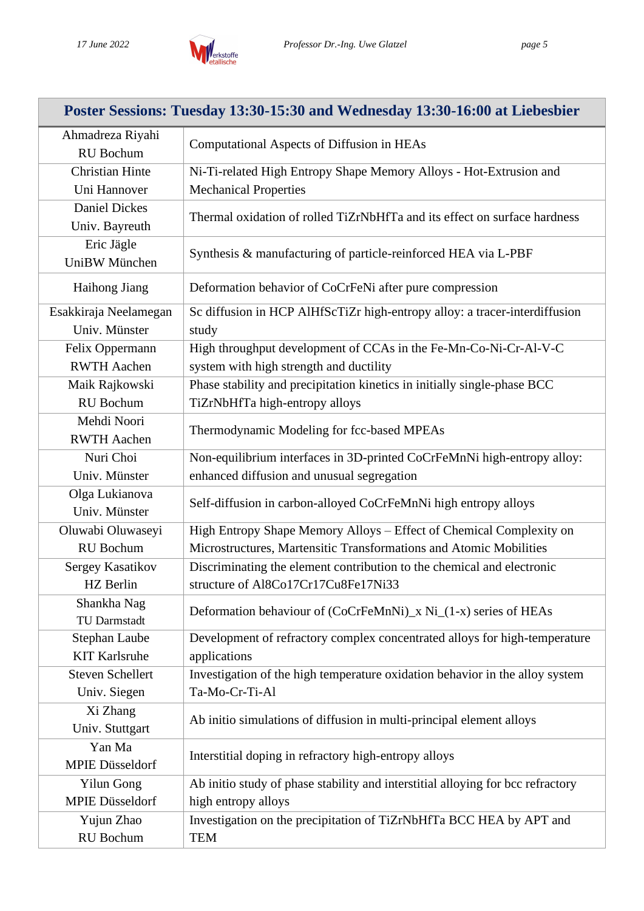

| Poster Sessions: Tuesday 13:30-15:30 and Wednesday 13:30-16:00 at Liebesbier |                                                                                 |  |  |  |
|------------------------------------------------------------------------------|---------------------------------------------------------------------------------|--|--|--|
| Ahmadreza Riyahi<br><b>RU</b> Bochum                                         | Computational Aspects of Diffusion in HEAs                                      |  |  |  |
| <b>Christian Hinte</b>                                                       | Ni-Ti-related High Entropy Shape Memory Alloys - Hot-Extrusion and              |  |  |  |
| Uni Hannover                                                                 | <b>Mechanical Properties</b>                                                    |  |  |  |
| <b>Daniel Dickes</b>                                                         |                                                                                 |  |  |  |
| Univ. Bayreuth                                                               | Thermal oxidation of rolled TiZrNbHfTa and its effect on surface hardness       |  |  |  |
| Eric Jägle                                                                   |                                                                                 |  |  |  |
| UniBW München                                                                | Synthesis & manufacturing of particle-reinforced HEA via L-PBF                  |  |  |  |
| Haihong Jiang                                                                | Deformation behavior of CoCrFeNi after pure compression                         |  |  |  |
| Esakkiraja Neelamegan                                                        | Sc diffusion in HCP AlHfScTiZr high-entropy alloy: a tracer-interdiffusion      |  |  |  |
| Univ. Münster                                                                | study                                                                           |  |  |  |
| Felix Oppermann                                                              | High throughput development of CCAs in the Fe-Mn-Co-Ni-Cr-Al-V-C                |  |  |  |
| <b>RWTH Aachen</b>                                                           | system with high strength and ductility                                         |  |  |  |
| Maik Rajkowski                                                               | Phase stability and precipitation kinetics in initially single-phase BCC        |  |  |  |
| RU Bochum                                                                    | TiZrNbHfTa high-entropy alloys                                                  |  |  |  |
| Mehdi Noori                                                                  |                                                                                 |  |  |  |
| <b>RWTH Aachen</b>                                                           | Thermodynamic Modeling for fcc-based MPEAs                                      |  |  |  |
| Nuri Choi                                                                    | Non-equilibrium interfaces in 3D-printed CoCrFeMnNi high-entropy alloy:         |  |  |  |
| Univ. Münster                                                                | enhanced diffusion and unusual segregation                                      |  |  |  |
| Olga Lukianova                                                               |                                                                                 |  |  |  |
| Univ. Münster                                                                | Self-diffusion in carbon-alloyed CoCrFeMnNi high entropy alloys                 |  |  |  |
| Oluwabi Oluwaseyi                                                            | High Entropy Shape Memory Alloys - Effect of Chemical Complexity on             |  |  |  |
| RU Bochum                                                                    | Microstructures, Martensitic Transformations and Atomic Mobilities              |  |  |  |
| Sergey Kasatikov                                                             | Discriminating the element contribution to the chemical and electronic          |  |  |  |
| HZ Berlin                                                                    | structure of Al8Co17Cr17Cu8Fe17Ni33                                             |  |  |  |
| Shankha Nag<br>TU Darmstadt                                                  | Deformation behaviour of (CoCrFeMnNi) x Ni (1-x) series of HEAs                 |  |  |  |
| Stephan Laube                                                                | Development of refractory complex concentrated alloys for high-temperature      |  |  |  |
| <b>KIT Karlsruhe</b>                                                         | applications                                                                    |  |  |  |
| <b>Steven Schellert</b>                                                      | Investigation of the high temperature oxidation behavior in the alloy system    |  |  |  |
| Univ. Siegen                                                                 | Ta-Mo-Cr-Ti-Al                                                                  |  |  |  |
| Xi Zhang                                                                     |                                                                                 |  |  |  |
| Univ. Stuttgart                                                              | Ab initio simulations of diffusion in multi-principal element alloys            |  |  |  |
| Yan Ma                                                                       |                                                                                 |  |  |  |
| <b>MPIE Düsseldorf</b>                                                       | Interstitial doping in refractory high-entropy alloys                           |  |  |  |
| <b>Yilun Gong</b>                                                            | Ab initio study of phase stability and interstitial alloying for bcc refractory |  |  |  |
| <b>MPIE Düsseldorf</b>                                                       | high entropy alloys                                                             |  |  |  |
| Yujun Zhao                                                                   | Investigation on the precipitation of TiZrNbHfTa BCC HEA by APT and             |  |  |  |
| RU Bochum                                                                    | <b>TEM</b>                                                                      |  |  |  |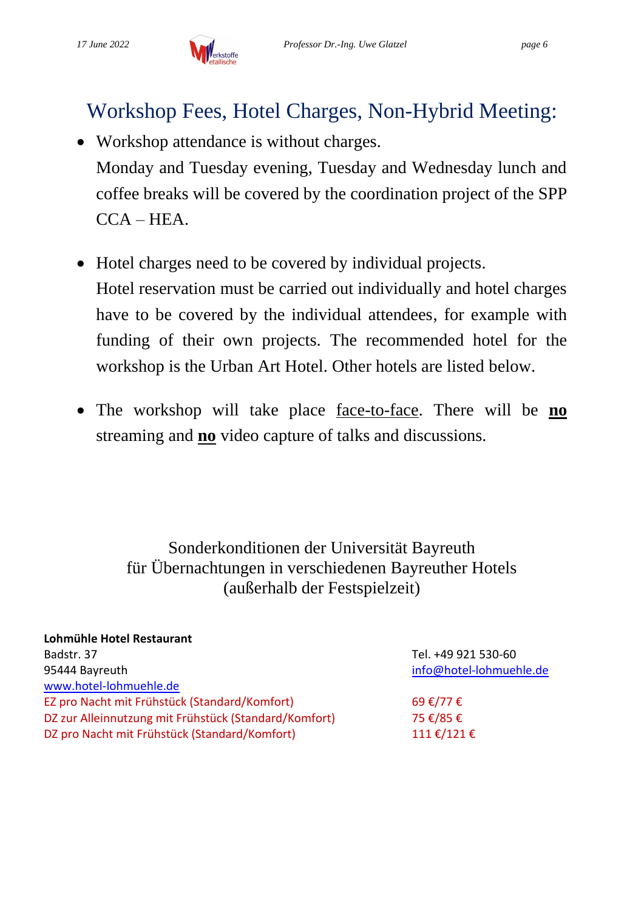## Workshop Fees, Hotel Charges, Non-Hybrid Meeting:

- Workshop attendance is without charges. Monday and Tuesday evening, Tuesday and Wednesday lunch and coffee breaks will be covered by the coordination project of the SPP CCA – HEA.
- Hotel charges need to be covered by individual projects. Hotel reservation must be carried out individually and hotel charges have to be covered by the individual attendees, for example with funding of their own projects. The recommended hotel for the workshop is the Urban Art Hotel. Other hotels are listed below.
- The workshop will take place face-to-face. There will be **no** streaming and **no** video capture of talks and discussions.

Sonderkonditionen der Universität Bayreuth für Übernachtungen in verschiedenen Bayreuther Hotels (außerhalb der Festspielzeit)

| Tel. +49 921 530-60     |
|-------------------------|
| info@hotel-lohmuehle.de |
|                         |
| 69 €/77 €               |
| 75 €/85 €               |
| 111€/121€               |
|                         |